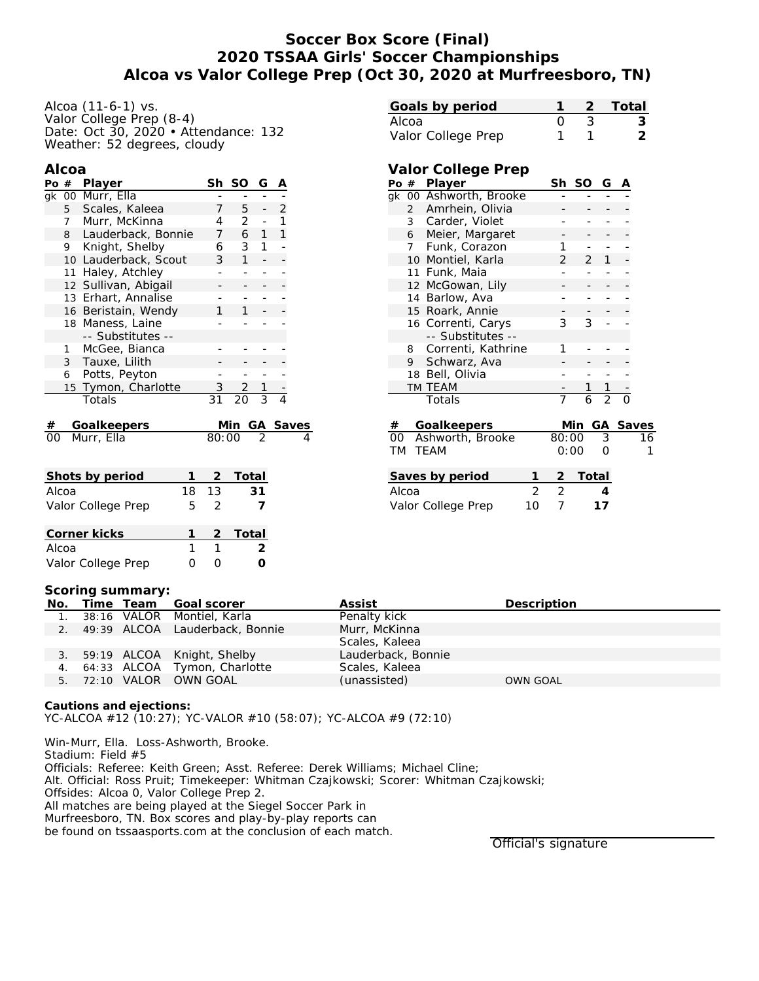## **Soccer Box Score (Final) 2020 TSSAA Girls' Soccer Championships Alcoa vs Valor College Prep (Oct 30, 2020 at Murfreesboro, TN)**

| Alcoa (11-6-1) vs.                   |  |
|--------------------------------------|--|
| Valor College Prep (8-4)             |  |
| Date: Oct 30, 2020 • Attendance: 132 |  |
| Weather: 52 degrees, cloudy          |  |

### **Alcoa**

| Po #                |                | Player               |    | Sh              | SO             | G              | Α |          |
|---------------------|----------------|----------------------|----|-----------------|----------------|----------------|---|----------|
|                     |                | gk 00 Murr, Ella     |    |                 |                |                |   |          |
| Scales, Kaleea<br>5 |                |                      |    | 7               | 5              |                | 2 |          |
|                     | 7              | Murr, McKinna        |    | 4               | 2              |                | 1 |          |
|                     | 8              | Lauderback, Bonnie   |    | 7               | 6              | $\mathbf{1}$   | 1 |          |
|                     | 9              | Knight, Shelby       |    | 6               | 3              | 1              |   |          |
|                     |                | 10 Lauderback, Scout |    | 3               | $\mathbf{1}$   |                |   |          |
|                     |                | 11 Haley, Atchley    |    |                 |                |                |   |          |
|                     | 12             | Sullivan, Abigail    |    |                 |                |                |   |          |
|                     | 13             | Erhart, Annalise     |    |                 |                |                |   |          |
|                     |                | 16 Beristain, Wendy  |    | 1               | 1              |                |   |          |
|                     |                | 18 Maness, Laine     |    |                 |                |                |   |          |
|                     |                | -- Substitutes --    |    |                 |                |                |   |          |
|                     | $\mathbf{1}$   | McGee, Bianca        |    |                 |                |                |   |          |
|                     | 3 <sup>7</sup> | Tauxe, Lilith        |    |                 |                |                |   |          |
|                     | 6              | Potts, Peyton        |    |                 |                |                |   |          |
|                     |                | 15 Tymon, Charlotte  |    | $\mathcal{S}$   | $\overline{2}$ | $\mathbf{1}$   |   |          |
|                     |                | Totals               |    | $\overline{31}$ | 20             | $\overline{3}$ | 4 |          |
| #                   |                | Goalkeepers          |    |                 | Min            |                |   | GA Saves |
| ററ                  |                | Murr, Ella           |    | 80:00           |                | $\mathfrak{D}$ |   | 4        |
|                     |                |                      |    |                 |                |                |   |          |
|                     |                |                      |    |                 |                |                |   |          |
|                     |                | Shots by period      | 1  | 2.              | Total          |                |   |          |
|                     | Alcoa          |                      | 18 | 13              |                | 31             |   |          |

| Valor College Prep | ৸ |         |
|--------------------|---|---------|
| Corner kicks       |   | 2 Total |
| Alcoa              |   |         |
| Valor College Prep |   |         |

# **Goals by period 1 2 Total** Alcoa 0 3 **3** Valor College Prep 1 1 2

# **Valor College Prep**

| Po | #               | Player             | Sh             | <b>SO</b> | G              | Α        |    |
|----|-----------------|--------------------|----------------|-----------|----------------|----------|----|
| qk | 00 <sub>o</sub> | Ashworth, Brooke   |                |           |                |          |    |
|    | $\overline{2}$  | Amrhein, Olivia    |                |           |                |          |    |
|    | 3               | Carder, Violet     |                |           |                |          |    |
|    | 6               | Meier, Margaret    |                |           |                |          |    |
|    | 7               | Funk, Corazon      | 1              |           |                |          |    |
|    |                 | 10 Montiel, Karla  | $\overline{2}$ | 2         | 1              |          |    |
|    |                 | 11 Funk, Maia      |                |           |                |          |    |
|    | 12              | McGowan, Lily      |                |           |                |          |    |
|    | 14              | Barlow, Ava        |                |           |                |          |    |
|    |                 | 15 Roark, Annie    |                |           |                |          |    |
|    |                 | 16 Correnti, Carys | 3              | 3         |                |          |    |
|    |                 | -- Substitutes --  |                |           |                |          |    |
|    | 8               | Correnti, Kathrine | 1              |           |                |          |    |
|    | 9               | Schwarz, Ava       |                |           |                |          |    |
|    | 18              | Bell, Olivia       |                |           |                |          |    |
|    |                 | TM TEAM            |                | 1         | 1              |          |    |
|    |                 | Totals             | 7              | 6         | $\overline{2}$ | ∩        |    |
|    |                 |                    |                |           |                |          |    |
| #  |                 | Goalkeepers        |                | Min       |                | GA Saves |    |
| OO |                 | Ashworth, Brooke   | 80:00          |           | 3              |          | 16 |
| ТM |                 | <b>TEAM</b>        | 0:00           |           | Ω              |          | 1  |
|    |                 |                    |                |           |                |          |    |
|    |                 |                    |                |           |                |          |    |

| Saves by period    |              | -2 Total |
|--------------------|--------------|----------|
| Alcoa              | $2^{\prime}$ |          |
| Valor College Prep | 1 O          | 17       |

#### **Scoring summary:**

|  | No. Time Team Goal scorer         | Assist             | Description     |
|--|-----------------------------------|--------------------|-----------------|
|  | 1. 38:16 VALOR Montiel, Karla     | Penalty kick       |                 |
|  | 2. 49:39 ALCOA Lauderback, Bonnie | Murr, McKinna      |                 |
|  |                                   | Scales, Kaleea     |                 |
|  | 3. 59:19 ALCOA Knight, Shelby     | Lauderback, Bonnie |                 |
|  | 4. 64:33 ALCOA Tymon, Charlotte   | Scales, Kaleea     |                 |
|  | 5. 72:10 VALOR OWN GOAL           | (unassisted)       | <b>OWN GOAL</b> |

**Cautions and ejections:** YC-ALCOA #12 (10:27); YC-VALOR #10 (58:07); YC-ALCOA #9 (72:10)

Win-Murr, Ella. Loss-Ashworth, Brooke. Stadium: Field #5 Officials: Referee: Keith Green; Asst. Referee: Derek Williams; Michael Cline; Alt. Official: Ross Pruit; Timekeeper: Whitman Czajkowski; Scorer: Whitman Czajkowski; Offsides: Alcoa 0, Valor College Prep 2. All matches are being played at the Siegel Soccer Park in Murfreesboro, TN. Box scores and play-by-play reports can be found on tssaasports.com at the conclusion of each match.

Official's signature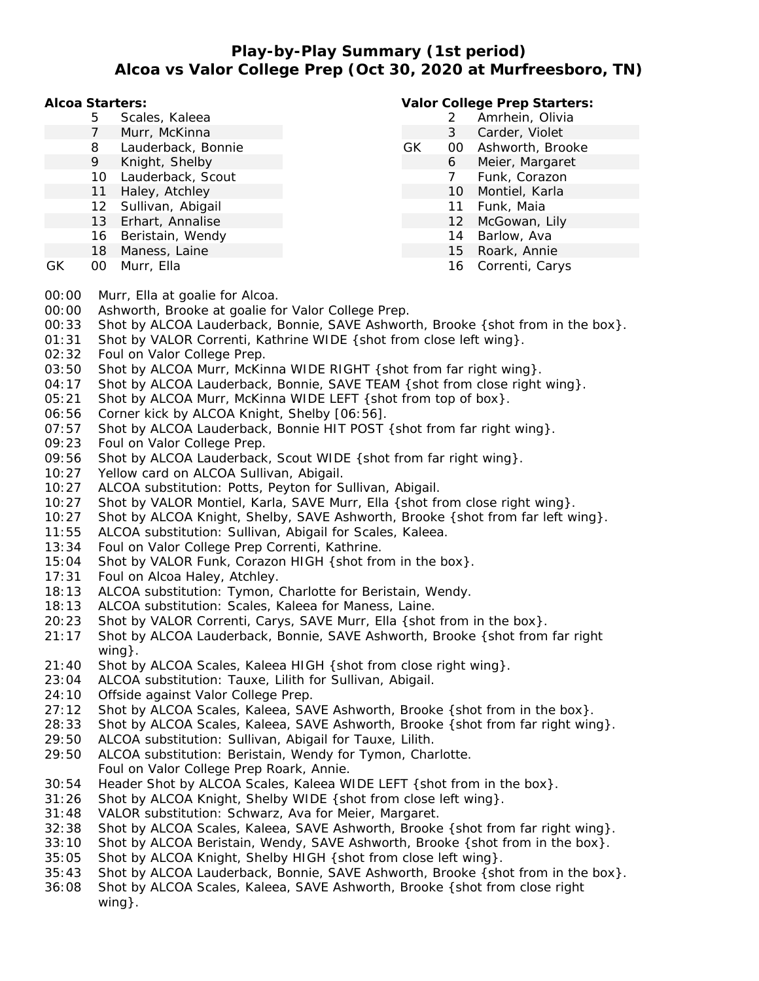# **Play-by-Play Summary (1st period) Alcoa vs Valor College Prep (Oct 30, 2020 at Murfreesboro, TN)**

**Alcoa Starters:**

- 5 Scales, Kaleea
- 7 Murr, McKinna
- 8 Lauderback, Bonnie
- 9 Knight, Shelby
- 10 Lauderback, Scout
- 11 Haley, Atchley
- 12 Sullivan, Abigail
- 13 Erhart, Annalise
- 16 Beristain, Wendy
- 18 Maness, Laine
- GK 00 Murr, Ella

## **Valor College Prep Starters:**

- 2 Amrhein, Olivia 3 Carder, Violet GK 00 Ashworth, Brooke 6 Meier, Margaret 7 Funk, Corazon 10 Montiel, Karla 11 Funk, Maia 12 McGowan, Lily
	- 14 Barlow, Ava
	- 15 Roark, Annie
	- 16 Correnti, Carys

- 00:00 Murr, Ella at goalie for Alcoa.
- 00:00 Ashworth, Brooke at goalie for Valor College Prep.
- 00:33 Shot by ALCOA Lauderback, Bonnie, SAVE Ashworth, Brooke {shot from in the box}.
- 01:31 Shot by VALOR Correnti, Kathrine WIDE {shot from close left wing}.
- 02:32 Foul on Valor College Prep.
- 03:50 Shot by ALCOA Murr, McKinna WIDE RIGHT { shot from far right wing }.
- 04:17 Shot by ALCOA Lauderback, Bonnie, SAVE TEAM { shot from close right wing }.
- 05:21 Shot by ALCOA Murr, McKinna WIDE LEFT { shot from top of box}.
- 06:56 Corner kick by ALCOA Knight, Shelby [06:56].
- 07:57 Shot by ALCOA Lauderback, Bonnie HIT POST { shot from far right wing}.
- 09:23 Foul on Valor College Prep.
- 09:56 Shot by ALCOA Lauderback, Scout WIDE { shot from far right wing }.
- 10:27 Yellow card on ALCOA Sullivan, Abigail.
- 10:27 ALCOA substitution: Potts, Peyton for Sullivan, Abigail.
- 10:27 Shot by VALOR Montiel, Karla, SAVE Murr, Ella {shot from close right wing}.
- 10:27 Shot by ALCOA Knight, Shelby, SAVE Ashworth, Brooke {shot from far left wing}.
- 11:55 ALCOA substitution: Sullivan, Abigail for Scales, Kaleea.
- 13:34 Foul on Valor College Prep Correnti, Kathrine.
- 15:04 Shot by VALOR Funk, Corazon HIGH {shot from in the box}.
- 17:31 Foul on Alcoa Haley, Atchley.
- 18:13 ALCOA substitution: Tymon, Charlotte for Beristain, Wendy.
- 18:13 ALCOA substitution: Scales, Kaleea for Maness, Laine.
- 20:23 Shot by VALOR Correnti, Carys, SAVE Murr, Ella { shot from in the box}.
- 21:17 Shot by ALCOA Lauderback, Bonnie, SAVE Ashworth, Brooke {shot from far right wing}.
- 21:40 Shot by ALCOA Scales, Kaleea HIGH {shot from close right wing}.
- 23:04 ALCOA substitution: Tauxe, Lilith for Sullivan, Abigail.
- 24:10 Offside against Valor College Prep.
- 27:12 Shot by ALCOA Scales, Kaleea, SAVE Ashworth, Brooke {shot from in the box}.
- 28:33 Shot by ALCOA Scales, Kaleea, SAVE Ashworth, Brooke {shot from far right wing}.
- 29:50 ALCOA substitution: Sullivan, Abigail for Tauxe, Lilith.
- 29:50 ALCOA substitution: Beristain, Wendy for Tymon, Charlotte. Foul on Valor College Prep Roark, Annie.
- 30:54 Header Shot by ALCOA Scales, Kaleea WIDE LEFT {shot from in the box}.
- 31:26 Shot by ALCOA Knight, Shelby WIDE {shot from close left wing}.
- 31:48 VALOR substitution: Schwarz, Ava for Meier, Margaret.
- 32:38 Shot by ALCOA Scales, Kaleea, SAVE Ashworth, Brooke {shot from far right wing}.
- 33:10 Shot by ALCOA Beristain, Wendy, SAVE Ashworth, Brooke {shot from in the box}.
- 35:05 Shot by ALCOA Knight, Shelby HIGH {shot from close left wing}.
- 35:43 Shot by ALCOA Lauderback, Bonnie, SAVE Ashworth, Brooke {shot from in the box}.
- 36:08 Shot by ALCOA Scales, Kaleea, SAVE Ashworth, Brooke {shot from close right wing }.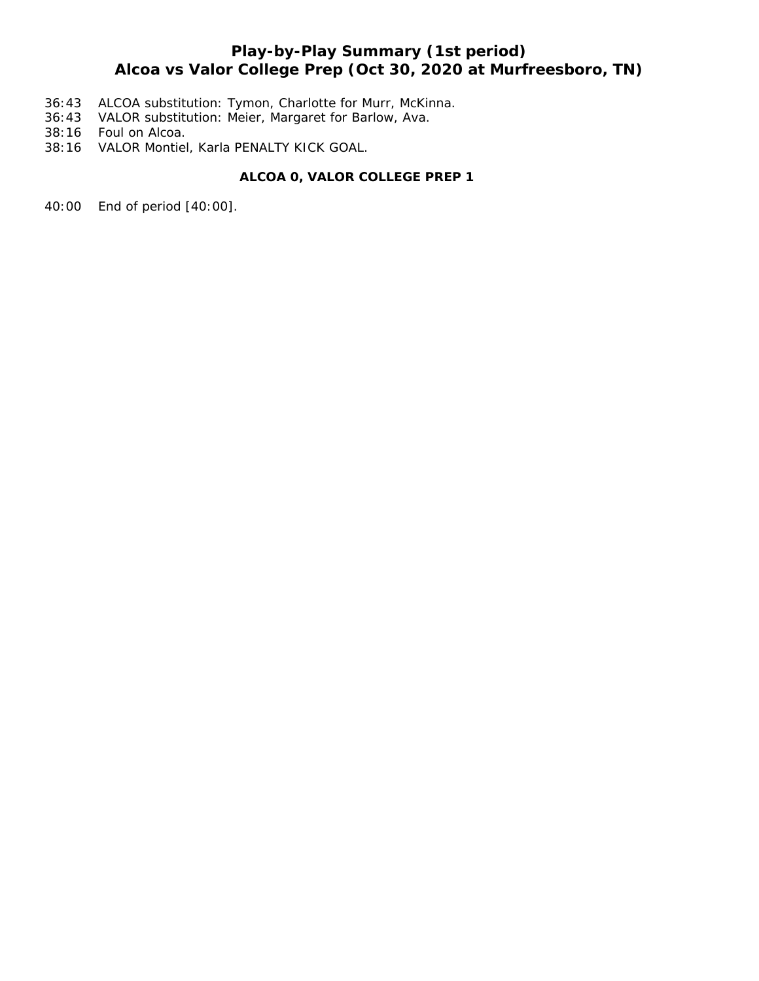# **Play-by-Play Summary (1st period) Alcoa vs Valor College Prep (Oct 30, 2020 at Murfreesboro, TN)**

- 36:43 ALCOA substitution: Tymon, Charlotte for Murr, McKinna.
- 36:43 VALOR substitution: Meier, Margaret for Barlow, Ava.
- 38:16 Foul on Alcoa.
- 38:16 VALOR Montiel, Karla PENALTY KICK GOAL.

## **ALCOA 0, VALOR COLLEGE PREP 1**

40:00 End of period [40:00].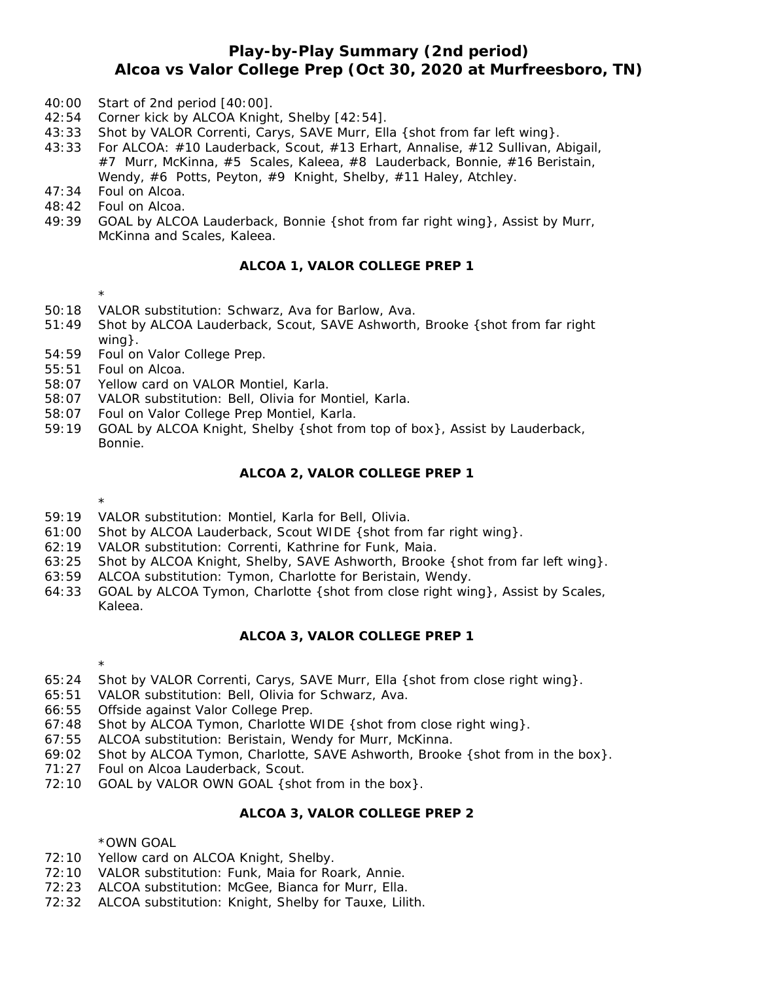## **Play-by-Play Summary (2nd period) Alcoa vs Valor College Prep (Oct 30, 2020 at Murfreesboro, TN)**

- 40:00 Start of 2nd period [40:00].
- 42:54 Corner kick by ALCOA Knight, Shelby [42:54].
- 43:33 Shot by VALOR Correnti, Carys, SAVE Murr, Ella {shot from far left wing}.
- 43:33 For ALCOA: #10 Lauderback, Scout, #13 Erhart, Annalise, #12 Sullivan, Abigail, #7 Murr, McKinna, #5 Scales, Kaleea, #8 Lauderback, Bonnie, #16 Beristain, Wendy, #6 Potts, Peyton, #9 Knight, Shelby, #11 Haley, Atchley.
- 47:34 Foul on Alcoa.
- 48:42 Foul on Alcoa.
- 49:39 GOAL by ALCOA Lauderback, Bonnie {shot from far right wing}, Assist by Murr, McKinna and Scales, Kaleea.

### **ALCOA 1, VALOR COLLEGE PREP 1**

- \*
- 50:18 VALOR substitution: Schwarz, Ava for Barlow, Ava.
- 51:49 Shot by ALCOA Lauderback, Scout, SAVE Ashworth, Brooke {shot from far right wing }.
- 54:59 Foul on Valor College Prep.
- 55:51 Foul on Alcoa.
- 58:07 Yellow card on VALOR Montiel, Karla.
- 58:07 VALOR substitution: Bell, Olivia for Montiel, Karla.
- 58:07 Foul on Valor College Prep Montiel, Karla.
- 59:19 GOAL by ALCOA Knight, Shelby {shot from top of box}, Assist by Lauderback, Bonnie.

### **ALCOA 2, VALOR COLLEGE PREP 1**

\*

- 59:19 VALOR substitution: Montiel, Karla for Bell, Olivia.
- 61:00 Shot by ALCOA Lauderback, Scout WIDE {shot from far right wing}.
- 62:19 VALOR substitution: Correnti, Kathrine for Funk, Maia.
- 63:25 Shot by ALCOA Knight, Shelby, SAVE Ashworth, Brooke {shot from far left wing}.
- 63:59 ALCOA substitution: Tymon, Charlotte for Beristain, Wendy.
- 64:33 GOAL by ALCOA Tymon, Charlotte {shot from close right wing}, Assist by Scales, Kaleea.

### **ALCOA 3, VALOR COLLEGE PREP 1**

\*

- 65:24 Shot by VALOR Correnti, Carys, SAVE Murr, Ella {shot from close right wing}.
- 65:51 VALOR substitution: Bell, Olivia for Schwarz, Ava.
- 66:55 Offside against Valor College Prep.
- 67:48 Shot by ALCOA Tymon, Charlotte WIDE {shot from close right wing}.
- 67:55 ALCOA substitution: Beristain, Wendy for Murr, McKinna.
- 69:02 Shot by ALCOA Tymon, Charlotte, SAVE Ashworth, Brooke {shot from in the box}.
- 71:27 Foul on Alcoa Lauderback, Scout.
- 72:10 GOAL by VALOR OWN GOAL { shot from in the box}.

## **ALCOA 3, VALOR COLLEGE PREP 2**

\*OWN GOAL

- 72:10 Yellow card on ALCOA Knight, Shelby.
- 72:10 VALOR substitution: Funk, Maia for Roark, Annie.
- 72:23 ALCOA substitution: McGee, Bianca for Murr, Ella.
- 72:32 ALCOA substitution: Knight, Shelby for Tauxe, Lilith.